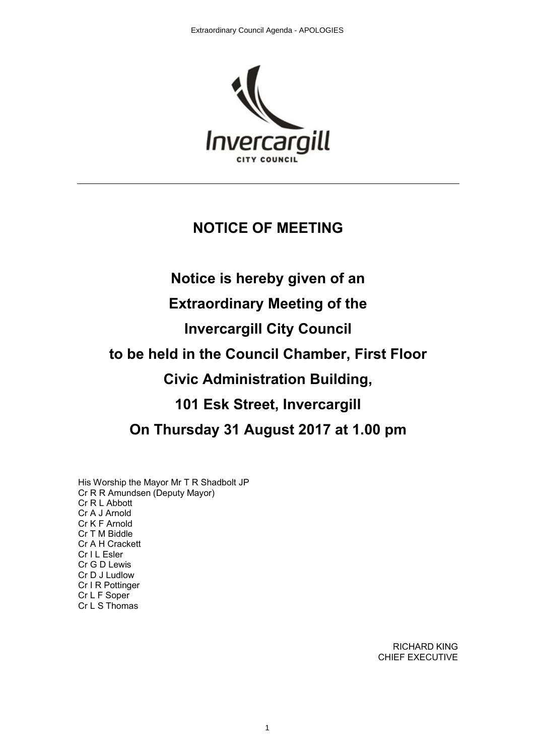

### **NOTICE OF MEETING**

# **Notice is hereby given of an Extraordinary Meeting of the Invercargill City Council to be held in the Council Chamber, First Floor Civic Administration Building, 101 Esk Street, Invercargill On Thursday 31 August 2017 at 1.00 pm**

His Worship the Mayor Mr T R Shadbolt JP Cr R R Amundsen (Deputy Mayor) Cr R L Abbott Cr A J Arnold Cr K F Arnold Cr T M Biddle Cr A H Crackett Cr I L Esler Cr G D Lewis Cr D J Ludlow Cr I R Pottinger Cr L F Soper Cr L S Thomas

> RICHARD KING CHIEF EXECUTIVE